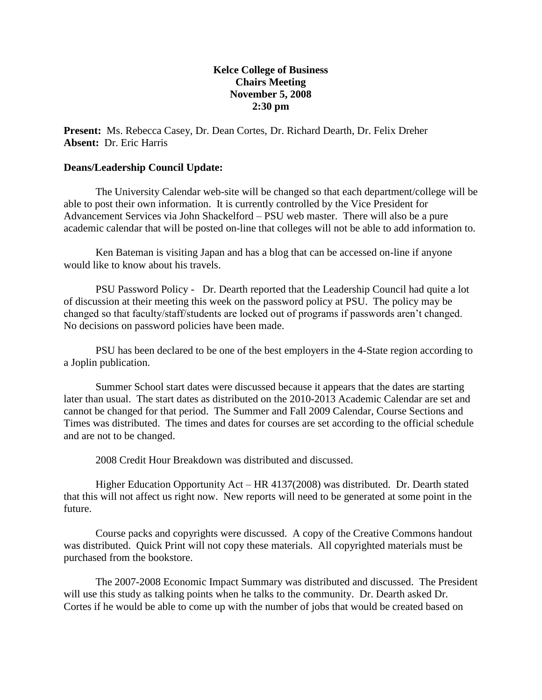## **Kelce College of Business Chairs Meeting November 5, 2008 2:30 pm**

**Present:** Ms. Rebecca Casey, Dr. Dean Cortes, Dr. Richard Dearth, Dr. Felix Dreher **Absent:** Dr. Eric Harris

### **Deans/Leadership Council Update:**

The University Calendar web-site will be changed so that each department/college will be able to post their own information. It is currently controlled by the Vice President for Advancement Services via John Shackelford – PSU web master. There will also be a pure academic calendar that will be posted on-line that colleges will not be able to add information to.

Ken Bateman is visiting Japan and has a blog that can be accessed on-line if anyone would like to know about his travels.

PSU Password Policy - Dr. Dearth reported that the Leadership Council had quite a lot of discussion at their meeting this week on the password policy at PSU. The policy may be changed so that faculty/staff/students are locked out of programs if passwords aren't changed. No decisions on password policies have been made.

PSU has been declared to be one of the best employers in the 4-State region according to a Joplin publication.

Summer School start dates were discussed because it appears that the dates are starting later than usual. The start dates as distributed on the 2010-2013 Academic Calendar are set and cannot be changed for that period. The Summer and Fall 2009 Calendar, Course Sections and Times was distributed. The times and dates for courses are set according to the official schedule and are not to be changed.

2008 Credit Hour Breakdown was distributed and discussed.

Higher Education Opportunity Act – HR 4137(2008) was distributed. Dr. Dearth stated that this will not affect us right now. New reports will need to be generated at some point in the future.

Course packs and copyrights were discussed. A copy of the Creative Commons handout was distributed. Quick Print will not copy these materials. All copyrighted materials must be purchased from the bookstore.

The 2007-2008 Economic Impact Summary was distributed and discussed. The President will use this study as talking points when he talks to the community. Dr. Dearth asked Dr. Cortes if he would be able to come up with the number of jobs that would be created based on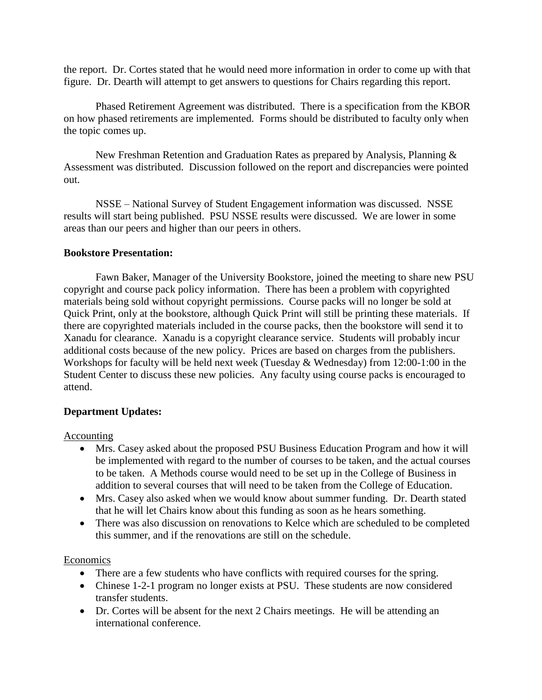the report. Dr. Cortes stated that he would need more information in order to come up with that figure. Dr. Dearth will attempt to get answers to questions for Chairs regarding this report.

Phased Retirement Agreement was distributed. There is a specification from the KBOR on how phased retirements are implemented. Forms should be distributed to faculty only when the topic comes up.

New Freshman Retention and Graduation Rates as prepared by Analysis, Planning & Assessment was distributed. Discussion followed on the report and discrepancies were pointed out.

NSSE – National Survey of Student Engagement information was discussed. NSSE results will start being published. PSU NSSE results were discussed. We are lower in some areas than our peers and higher than our peers in others.

### **Bookstore Presentation:**

Fawn Baker, Manager of the University Bookstore, joined the meeting to share new PSU copyright and course pack policy information. There has been a problem with copyrighted materials being sold without copyright permissions. Course packs will no longer be sold at Quick Print, only at the bookstore, although Quick Print will still be printing these materials. If there are copyrighted materials included in the course packs, then the bookstore will send it to Xanadu for clearance. Xanadu is a copyright clearance service. Students will probably incur additional costs because of the new policy. Prices are based on charges from the publishers. Workshops for faculty will be held next week (Tuesday & Wednesday) from 12:00-1:00 in the Student Center to discuss these new policies. Any faculty using course packs is encouraged to attend.

# **Department Updates:**

### Accounting

- Mrs. Casey asked about the proposed PSU Business Education Program and how it will be implemented with regard to the number of courses to be taken, and the actual courses to be taken. A Methods course would need to be set up in the College of Business in addition to several courses that will need to be taken from the College of Education.
- Mrs. Casey also asked when we would know about summer funding. Dr. Dearth stated that he will let Chairs know about this funding as soon as he hears something.
- There was also discussion on renovations to Kelce which are scheduled to be completed this summer, and if the renovations are still on the schedule.

### Economics

- There are a few students who have conflicts with required courses for the spring.
- Chinese 1-2-1 program no longer exists at PSU. These students are now considered transfer students.
- Dr. Cortes will be absent for the next 2 Chairs meetings. He will be attending an international conference.